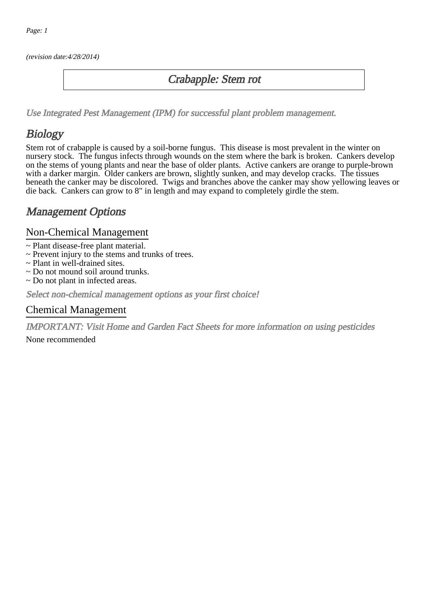(revision date:4/28/2014)

## Crabapple: Stem rot

[Use Integrated Pest Management \(IPM\) for successful plant problem management.](http://pep.wsu.edu/Home_Garden/H_G_Pesticide_info/urban_Integrated_Pest_Managmen/)

## **Biology**

Stem rot of crabapple is caused by a soil-borne fungus. This disease is most prevalent in the winter on nursery stock. The fungus infects through wounds on the stem where the bark is broken. Cankers develop on the stems of young plants and near the base of older plants. Active cankers are orange to purple-brown with a darker margin. Older cankers are brown, slightly sunken, and may develop cracks. The tissues beneath the canker may be discolored. Twigs and branches above the canker may show yellowing leaves or die back. Cankers can grow to 8" in length and may expand to completely girdle the stem.

## Management Options

#### Non-Chemical Management

- ~ Plant disease-free plant material.
- ~ Prevent injury to the stems and trunks of trees.
- ~ Plant in well-drained sites.
- ~ Do not mound soil around trunks.
- ~ Do not plant in infected areas.

Select non-chemical management options as your first choice!

#### Chemical Management

IMPORTANT: [Visit Home and Garden Fact Sheets for more information on using pesticides](http://pep.wsu.edu/Home_Garden/H_G_Pesticide_info/)

None recommended